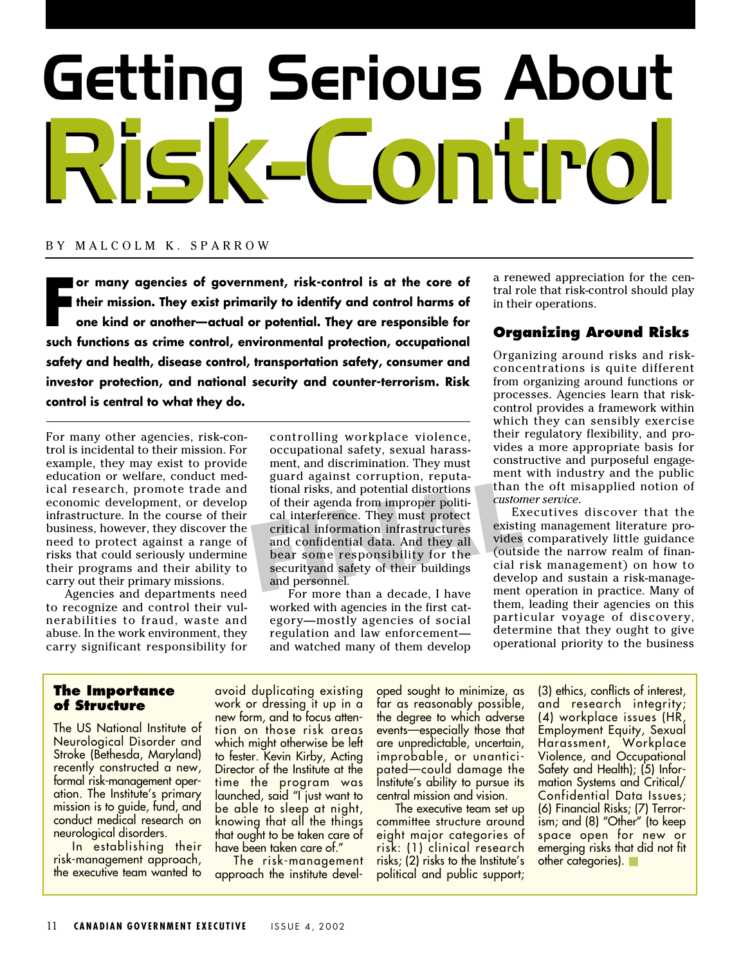# Getting Serious About Risk-Control Risk-Control

#### BY MALCOLM K. SPARROW

**F or many agencies of government, risk-control is at the core of their mission. They exist primarily to identify and control harms of one kind or another—actual or potential. They are responsible for such functions as crime control, environmental protection, occupational safety and health, disease control, transportation safety, consumer and investor protection, and national security and counter-terrorism. Risk control is central to what they do.**

For many other agencies, risk-control is incidental to their mission. For example, they may exist to provide education or welfare, conduct medical research, promote trade and economic development, or develop infrastructure. In the course of their business, however, they discover the need to protect against a range of risks that could seriously undermine their programs and their ability to carry out their primary missions.

Agencies and departments need to recognize and control their vulnerabilities to fraud, waste and abuse. In the work environment, they carry significant responsibility for

FINAL TIME ISLAM TO THE THE MANUSING THE SCITE OF SCIENCIL SCIENCIL SERVICE STATES AND THE SCIENCIL SEARCH THE SCIENCIL SCIENCIL SEARCH SECULIAR SECULIAR SECULIAR SECULIAR SECULIAR SEARCH SECULIAR SEARCH SECULIAR SEARCH SE controlling workplace violence, occupational safety, sexual harassment, and discrimination. They must guard against corruption, reputational risks, and potential distortions of their agenda from improper political interference. They must protect critical information infrastructures and confidential data. And they all bear some responsibility for the securityand safety of their buildings and personnel.

For more than a decade, I have worked with agencies in the first category—mostly agencies of social regulation and law enforcement and watched many of them develop

a renewed appreciation for the central role that risk-control should play in their operations.

### **Organizing Around Risks**

Organizing around risks and riskconcentrations is quite different from organizing around functions or processes. Agencies learn that riskcontrol provides a framework within which they can sensibly exercise their regulatory flexibility, and provides a more appropriate basis for constructive and purposeful engagement with industry and the public than the oft misapplied notion of *customer service*.

Executives discover that the existing management literature provides comparatively little guidance (outside the narrow realm of financial risk management) on how to develop and sustain a risk-management operation in practice. Many of them, leading their agencies on this particular voyage of discovery, determine that they ought to give operational priority to the business

#### **The Importance of Structure**

The US National Institute of Neurological Disorder and Stroke (Bethesda, Maryland) recently constructed a new, formal risk-management operation. The Institute's primary mission is to guide, fund, and conduct medical research on neurological disorders.

In establishing their risk-management approach, the executive team wanted to avoid duplicating existing work or dressing it up in a new form, and to focus attention on those risk areas which might otherwise be left to fester. Kevin Kirby, Acting Director of the Institute at the time the program was launched, said "I just want to be able to sleep at night, knowing that all the things that ought to be taken care of have been taken care of."

The risk-management approach the institute developed sought to minimize, as far as reasonably possible, the degree to which adverse events—especially those that are unpredictable, uncertain, improbable, or unanticipated—could damage the Institute's ability to pursue its central mission and vision.

The executive team set up committee structure around eight major categories of risk: (1) clinical research risks; (2) risks to the Institute's political and public support;

(3) ethics, conflicts of interest, and research integrity; (4) workplace issues (HR, Employment Equity, Sexual Harassment, Workplace Violence, and Occupational Safety and Health); (5) Information Systems and Critical/ Confidential Data Issues; (6) Financial Risks; (7) Terrorism; and (8) "Other" (to keep space open for new or emerging risks that did not fit other categories).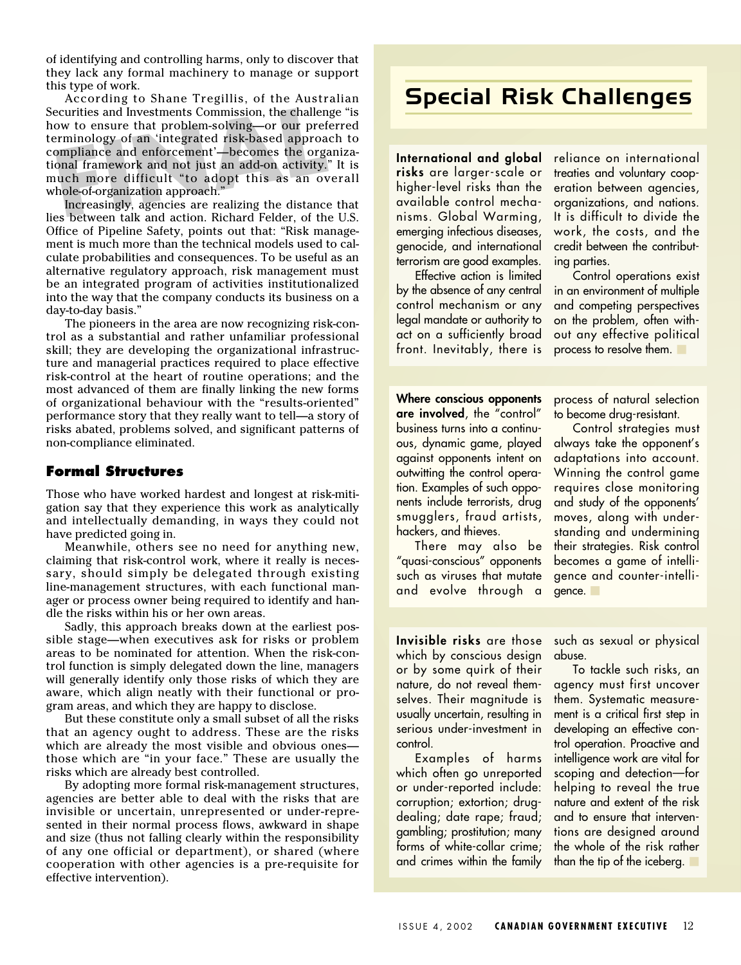of identifying and controlling harms, only to discover that they lack any formal machinery to manage or support this type of work.

ecurities and Investments Commission, the challen<br>ow to ensure that problem-solving—or our pref<br>erminology of an 'integrated risk-based approa<br>ompliance and enforcement'—becomes the orga<br>onal framework and not just an add-According to Shane Tregillis, of the Australian Securities and Investments Commission, the challenge "is how to ensure that problem-solving—or our preferred terminology of an 'integrated risk-based approach to compliance and enforcement'—becomes the organizational framework and not just an add-on activity." It is much more difficult "to adopt this as an overall whole-of-organization approach.

Increasingly, agencies are realizing the distance that lies between talk and action. Richard Felder, of the U.S. Office of Pipeline Safety, points out that: "Risk management is much more than the technical models used to calculate probabilities and consequences. To be useful as an alternative regulatory approach, risk management must be an integrated program of activities institutionalized into the way that the company conducts its business on a day-to-day basis."

The pioneers in the area are now recognizing risk-control as a substantial and rather unfamiliar professional skill; they are developing the organizational infrastructure and managerial practices required to place effective risk-control at the heart of routine operations; and the most advanced of them are finally linking the new forms of organizational behaviour with the "results-oriented" performance story that they really want to tell—a story of risks abated, problems solved, and significant patterns of non-compliance eliminated.

#### **Formal Structures**

Those who have worked hardest and longest at risk-mitigation say that they experience this work as analytically and intellectually demanding, in ways they could not have predicted going in.

Meanwhile, others see no need for anything new, claiming that risk-control work, where it really is necessary, should simply be delegated through existing line-management structures, with each functional manager or process owner being required to identify and handle the risks within his or her own areas.

Sadly, this approach breaks down at the earliest possible stage—when executives ask for risks or problem areas to be nominated for attention. When the risk-control function is simply delegated down the line, managers will generally identify only those risks of which they are aware, which align neatly with their functional or program areas, and which they are happy to disclose.

But these constitute only a small subset of all the risks that an agency ought to address. These are the risks which are already the most visible and obvious ones those which are "in your face." These are usually the risks which are already best controlled.

By adopting more formal risk-management structures, agencies are better able to deal with the risks that are invisible or uncertain, unrepresented or under-represented in their normal process flows, awkward in shape and size (thus not falling clearly within the responsibility of any one official or department), or shared (where cooperation with other agencies is a pre-requisite for effective intervention).

# Special Risk Challenges

**International and global risks** are larger-scale or higher-level risks than the available control mechanisms. Global Warming, emerging infectious diseases, genocide, and international terrorism are good examples.

Effective action is limited by the absence of any central control mechanism or any legal mandate or authority to act on a sufficiently broad front. Inevitably, there is

reliance on international treaties and voluntary cooperation between agencies, organizations, and nations. It is difficult to divide the work, the costs, and the credit between the contributing parties.

Control operations exist in an environment of multiple and competing perspectives on the problem, often without any effective political process to resolve them.

**Where conscious opponents are involved**, the "control" business turns into a continuous, dynamic game, played against opponents intent on outwitting the control operation. Examples of such opponents include terrorists, drug smugglers, fraud artists, hackers, and thieves.

There may also be "quasi-conscious" opponents such as viruses that mutate and evolve through a process of natural selection to become drug-resistant.

Control strategies must always take the opponent's adaptations into account. Winning the control game requires close monitoring and study of the opponents' moves, along with understanding and undermining their strategies. Risk control becomes a game of intelligence and counter-intelligence. ■

**Invisible risks** are those which by conscious design or by some quirk of their nature, do not reveal themselves. Their magnitude is usually uncertain, resulting in serious under-investment in control.

Examples of harms which often go unreported or under-reported include: corruption; extortion; drugdealing; date rape; fraud; gambling; prostitution; many forms of white-collar crime; and crimes within the family

such as sexual or physical abuse.

To tackle such risks, an agency must first uncover them. Systematic measurement is a critical first step in developing an effective control operation. Proactive and intelligence work are vital for scoping and detection—for helping to reveal the true nature and extent of the risk and to ensure that interventions are designed around the whole of the risk rather than the tip of the iceberg. ■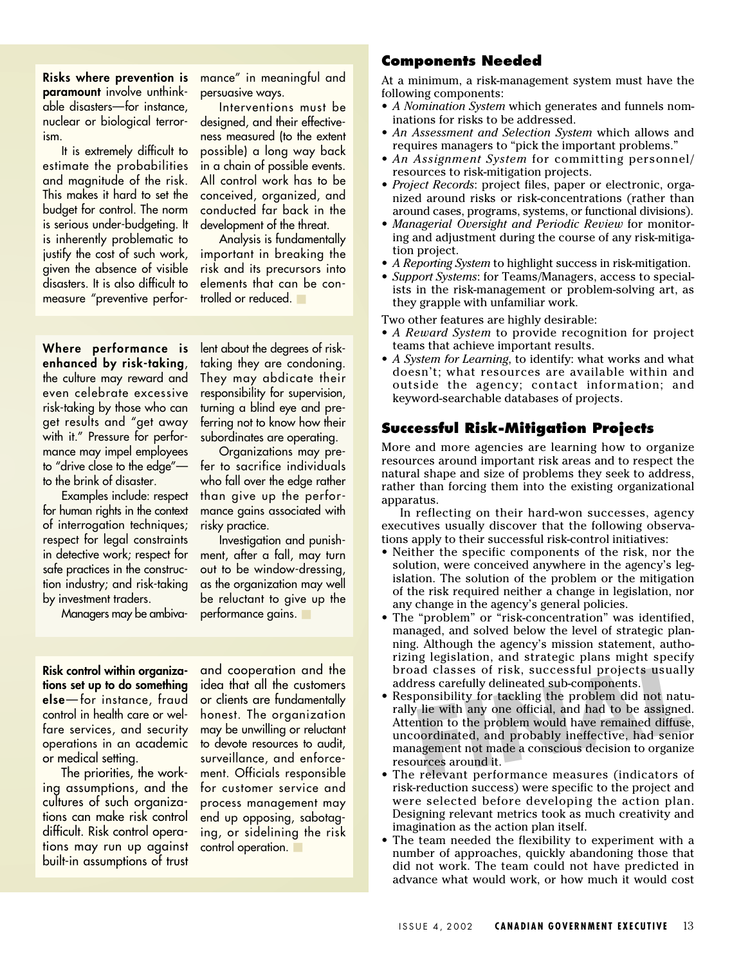**Risks where prevention is paramount** involve unthinkable disasters—for instance, nuclear or biological terrorism.

It is extremely difficult to estimate the probabilities and magnitude of the risk. This makes it hard to set the budget for control. The norm is serious under-budgeting. It is inherently problematic to justify the cost of such work, given the absence of visible disasters. It is also difficult to measure "preventive performance" in meaningful and persuasive ways.

Interventions must be designed, and their effectiveness measured (to the extent possible) a long way back in a chain of possible events. All control work has to be conceived, organized, and conducted far back in the development of the threat.

Analysis is fundamentally important in breaking the risk and its precursors into elements that can be controlled or reduced. ■

**Where performance is enhanced by risk-taking**, the culture may reward and even celebrate excessive risk-taking by those who can get results and "get away with it." Pressure for performance may impel employees to "drive close to the edge" to the brink of disaster.

Examples include: respect for human rights in the context of interrogation techniques; respect for legal constraints in detective work; respect for safe practices in the construction industry; and risk-taking by investment traders.

Managers may be ambiva-

lent about the degrees of risktaking they are condoning. They may abdicate their responsibility for supervision, turning a blind eye and preferring not to know how their subordinates are operating.

Organizations may prefer to sacrifice individuals who fall over the edge rather than give up the performance gains associated with risky practice.

Investigation and punishment, after a fall, may turn out to be window-dressing, as the organization may well be reluctant to give up the performance gains.

**Risk control within organizations set up to do something else**—for instance, fraud control in health care or welfare services, and security operations in an academic or medical setting.

The priorities, the working assumptions, and the cultures of such organizations can make risk control difficult. Risk control operations may run up against built-in assumptions of trust

and cooperation and the idea that all the customers or clients are fundamentally honest. The organization may be unwilling or reluctant to devote resources to audit, surveillance, and enforcement. Officials responsible for customer service and process management may end up opposing, sabotaging, or sidelining the risk control operation.

#### **Components Needed**

At a minimum, a risk-management system must have the following components:

- *A Nomination System* which generates and funnels nominations for risks to be addressed.
- *An Assessment and Selection System* which allows and requires managers to "pick the important problems."
- *An Assignment System* for committing personnel/ resources to risk-mitigation projects.
- *Project Records*: project files, paper or electronic, organized around risks or risk-concentrations (rather than around cases, programs, systems, or functional divisions).
- *Managerial Oversight and Periodic Review* for monitoring and adjustment during the course of any risk-mitigation project.
- *A Reporting System* to highlight success in risk-mitigation.
- *Support Systems*: for Teams/Managers, access to specialists in the risk-management or problem-solving art, as they grapple with unfamiliar work.
- Two other features are highly desirable:
- *A Reward System* to provide recognition for project teams that achieve important results.
- *A System for Learning*, to identify: what works and what doesn't; what resources are available within and outside the agency; contact information; and keyword-searchable databases of projects.

#### **Successful Risk-Mitigation Projects**

More and more agencies are learning how to organize resources around important risk areas and to respect the natural shape and size of problems they seek to address, rather than forcing them into the existing organizational apparatus.

In reflecting on their hard-won successes, agency executives usually discover that the following observations apply to their successful risk-control initiatives:

- Neither the specific components of the risk, nor the solution, were conceived anywhere in the agency's legislation. The solution of the problem or the mitigation of the risk required neither a change in legislation, nor any change in the agency's general policies.
- The "problem" or "risk-concentration" was identified, managed, and solved below the level of strategic planning. Although the agency's mission statement, authorizing legislation, and strategic plans might specify address carefully delineated sub-components.
- broad classes of risk, successful projects usually<br>address carefully delineated sub-components.<br>Responsibility for tackling the problem did not natu-<br>rally lie with any one official, and had to be assigned.<br>Attention to th • Responsibility for tackling the problem did not naturally lie with any one official, and had to be assigned. Attention to the problem would have remained diffuse, uncoordinated, and probably ineffective, had senior management not made a conscious decision to organize resources around it.
- The relevant performance measures (indicators of risk-reduction success) were specific to the project and were selected before developing the action plan. Designing relevant metrics took as much creativity and imagination as the action plan itself.
- The team needed the flexibility to experiment with a number of approaches, quickly abandoning those that did not work. The team could not have predicted in advance what would work, or how much it would cost